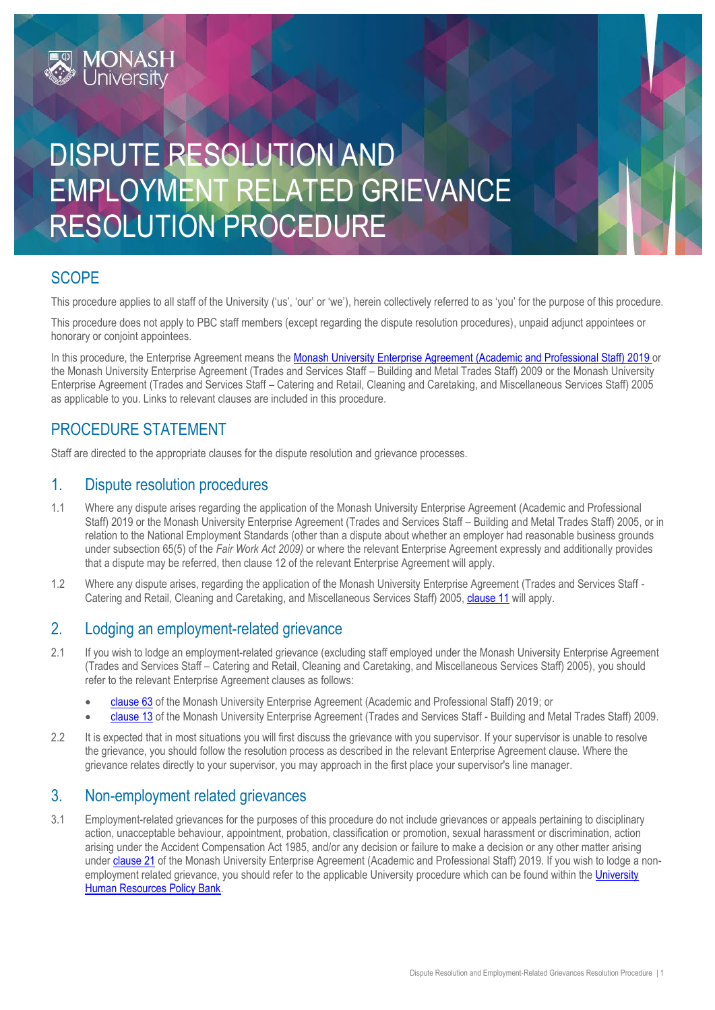

## **SCOPE**

This procedure applies to all staff of the University ('us', 'our' or 'we'), herein collectively referred to as 'you' for the purpose of this procedure.

This procedure does not apply to PBC staff members (except regarding the dispute resolution procedures), unpaid adjunct appointees or honorary or conjoint appointees.

In this procedure, the Enterprise Agreement means the [Monash University Enterprise Agreement \(Academic and](https://www.monash.edu/current-enterprise-agreements/academic-professional-2019) Professional Staff) 2019 or the Monash University Enterprise Agreement (Trades and Services Staff – Building and Metal Trades Staff) 2009 or the Monash University Enterprise Agreement (Trades and Services Staff – Catering and Retail, Cleaning and Caretaking, and Miscellaneous Services Staff) 2005 as applicable to you. Links to relevant clauses are included in this procedure.

### PROCEDURE STATEMENT

**MONASH**<br>University

Staff are directed to the appropriate clauses for the dispute resolution and grievance processes.

#### 1. Dispute resolution procedures

- 1.1 Where any dispute arises regarding the application of the Monash University Enterprise Agreement (Academic and Professional Staff) 2019 or the Monash University Enterprise Agreement (Trades and Services Staff – Building and Metal Trades Staff) 2005, or in relation to the National Employment Standards (other than a dispute about whether an employer had reasonable business grounds under subsection 65(5) of the *Fair Work Act 2009)* or where the relevant Enterprise Agreement expressly and additionally provides that a dispute may be referred, then clause 12 of the relevant Enterprise Agreement will apply.
- 1.2 Where any dispute arises, regarding the application of the Monash University Enterprise Agreement (Trades and Services Staff Catering and Retail, Cleaning and Caretaking, and Miscellaneous Services Staff) 2005, [clause 11](https://www.monash.edu/current-enterprise-agreements/trades-services-crccm-2005#11) will apply.

#### 2. Lodging an employment-related grievance

- 2.1 If you wish to lodge an employment-related grievance (excluding staff employed under the Monash University Enterprise Agreement (Trades and Services Staff – Catering and Retail, Cleaning and Caretaking, and Miscellaneous Services Staff) 2005), you should refer to the relevant Enterprise Agreement clauses as follows:
	- [clause 63](https://www.monash.edu/current-enterprise-agreements/academic-professional-2019#63) of the Monash University Enterprise Agreement (Academic and Professional Staff) 2019; or
	- [clause 13](https://www.monash.edu/current-enterprise-agreements/trades-services-bmt-2009/13) of the Monash University Enterprise Agreement (Trades and Services Staff Building and Metal Trades Staff) 2009.
- 2.2 It is expected that in most situations you will first discuss the grievance with you supervisor. If your supervisor is unable to resolve the grievance, you should follow the resolution process as described in the relevant Enterprise Agreement clause. Where the grievance relates directly to your supervisor, you may approach in the first place your supervisor's line manager.

#### 3. Non-employment related grievances

3.1 Employment-related grievances for the purposes of this procedure do not include grievances or appeals pertaining to disciplinary action, unacceptable behaviour, appointment, probation, classification or promotion, sexual harassment or discrimination, action arising under the Accident Compensation Act 1985, and/or any decision or failure to make a decision or any other matter arising under [clause 21](https://www.monash.edu/current-enterprise-agreements/academic-professional-2019#21) of the Monash University Enterprise Agreement (Academic and Professional Staff) 2019. If you wish to lodge a non-employment related grievance, you should refer to the applicable [University](https://www.monash.edu/policy-bank/workplace-policy) procedure which can be found within the University [Human Resources Policy Bank.](https://www.monash.edu/policy-bank/workplace-policy)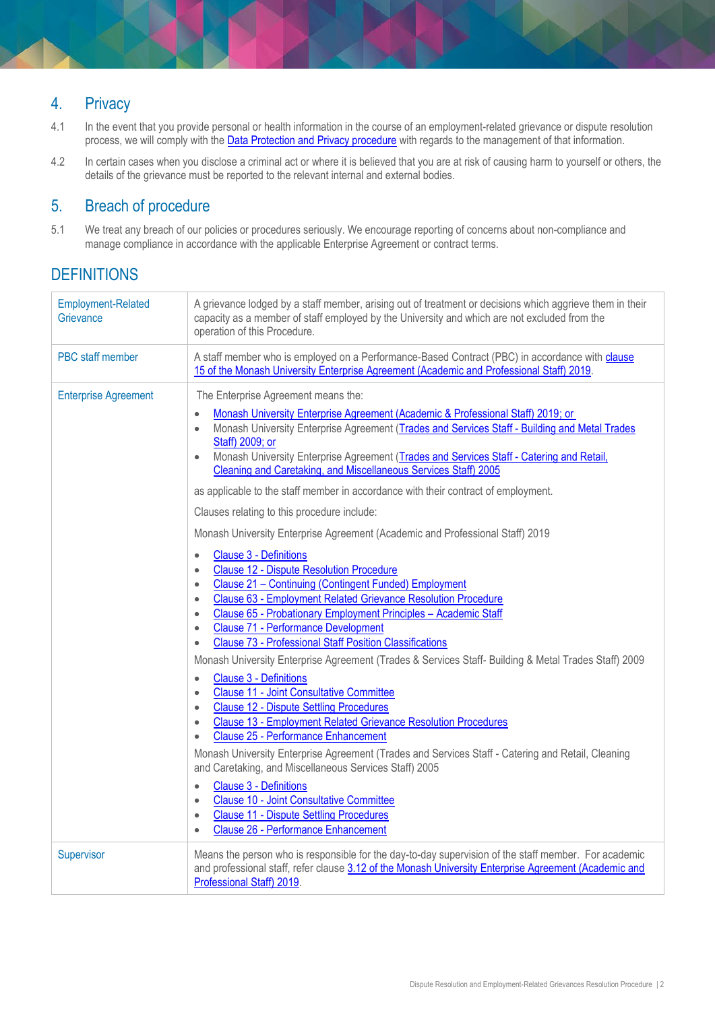## 4. Privacy

- 4.1 In the event that you provide personal or health information in the course of an employment-related grievance or dispute resolution process, we will comply with the [Data Protection and Privacy procedure](https://publicpolicydms.monash.edu/Monash/documents/1909233) with regards to the management of that information.
- 4.2 In certain cases when you disclose a criminal act or where it is believed that you are at risk of causing harm to yourself or others, the details of the grievance must be reported to the relevant internal and external bodies.

## 5. Breach of procedure

5.1 We treat any breach of our policies or procedures seriously. We encourage reporting of concerns about non-compliance and manage compliance in accordance with the applicable Enterprise Agreement or contract terms.

## **DEFINITIONS**

| <b>Employment-Related</b><br>Grievance | A grievance lodged by a staff member, arising out of treatment or decisions which aggrieve them in their<br>capacity as a member of staff employed by the University and which are not excluded from the<br>operation of this Procedure.                                                                                                                                                                                                                                                                                                                                                                                                       |
|----------------------------------------|------------------------------------------------------------------------------------------------------------------------------------------------------------------------------------------------------------------------------------------------------------------------------------------------------------------------------------------------------------------------------------------------------------------------------------------------------------------------------------------------------------------------------------------------------------------------------------------------------------------------------------------------|
| PBC staff member                       | A staff member who is employed on a Performance-Based Contract (PBC) in accordance with clause<br>15 of the Monash University Enterprise Agreement (Academic and Professional Staff) 2019.                                                                                                                                                                                                                                                                                                                                                                                                                                                     |
| <b>Enterprise Agreement</b>            | The Enterprise Agreement means the:<br>Monash University Enterprise Agreement (Academic & Professional Staff) 2019; or<br>$\bullet$<br>Monash University Enterprise Agreement (Trades and Services Staff - Building and Metal Trades<br>$\bullet$<br>Staff) 2009; or<br>Monash University Enterprise Agreement (Trades and Services Staff - Catering and Retail,<br>$\bullet$<br>Cleaning and Caretaking, and Miscellaneous Services Staff) 2005<br>as applicable to the staff member in accordance with their contract of employment.                                                                                                         |
|                                        | Clauses relating to this procedure include:<br>Monash University Enterprise Agreement (Academic and Professional Staff) 2019                                                                                                                                                                                                                                                                                                                                                                                                                                                                                                                   |
|                                        | <b>Clause 3 - Definitions</b><br>$\bullet$<br><b>Clause 12 - Dispute Resolution Procedure</b><br>$\bullet$<br>Clause 21 - Continuing (Contingent Funded) Employment<br>$\bullet$<br>Clause 63 - Employment Related Grievance Resolution Procedure<br>$\bullet$<br>Clause 65 - Probationary Employment Principles - Academic Staff<br>$\bullet$<br><b>Clause 71 - Performance Development</b><br>$\bullet$<br><b>Clause 73 - Professional Staff Position Classifications</b><br>$\bullet$<br>Monash University Enterprise Agreement (Trades & Services Staff- Building & Metal Trades Staff) 2009<br><b>Clause 3 - Definitions</b><br>$\bullet$ |
|                                        | <b>Clause 11 - Joint Consultative Committee</b><br>$\bullet$<br><b>Clause 12 - Dispute Settling Procedures</b><br>$\bullet$<br><b>Clause 13 - Employment Related Grievance Resolution Procedures</b><br>$\bullet$<br><b>Clause 25 - Performance Enhancement</b><br>$\bullet$<br>Monash University Enterprise Agreement (Trades and Services Staff - Catering and Retail, Cleaning<br>and Caretaking, and Miscellaneous Services Staff) 2005                                                                                                                                                                                                    |
|                                        | <b>Clause 3 - Definitions</b><br>$\bullet$<br><b>Clause 10 - Joint Consultative Committee</b><br>$\bullet$<br><b>Clause 11 - Dispute Settling Procedures</b><br>$\bullet$<br><b>Clause 26 - Performance Enhancement</b><br>$\bullet$                                                                                                                                                                                                                                                                                                                                                                                                           |
| Supervisor                             | Means the person who is responsible for the day-to-day supervision of the staff member. For academic<br>and professional staff, refer clause 3.12 of the Monash University Enterprise Agreement (Academic and<br>Professional Staff) 2019.                                                                                                                                                                                                                                                                                                                                                                                                     |